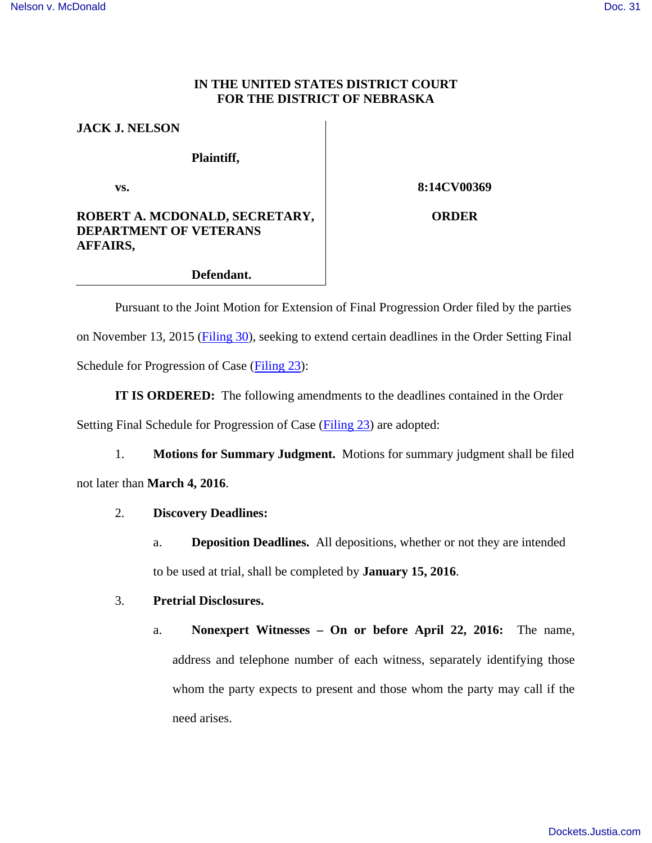#### **IN THE UNITED STATES DISTRICT COURT FOR THE DISTRICT OF NEBRASKA**

### **JACK J. NELSON**

### **Plaintiff,**

**vs.** 

# **8:14CV00369**

## **ROBERT A. MCDONALD, SECRETARY, DEPARTMENT OF VETERANS AFFAIRS,**

**ORDER**

### **Defendant.**

Pursuant to the Joint Motion for Extension of Final Progression Order filed by the parties on November 13, 2015 [\(Filing 30\)](https://ecf.ned.uscourts.gov/doc1/11313399124), seeking to extend certain deadlines in the Order Setting Final Schedule for Progression of Case [\(Filing 23\)](https://ecf.ned.uscourts.gov/doc1/11313312008):

**IT IS ORDERED:** The following amendments to the deadlines contained in the Order Setting Final Schedule for Progression of Case [\(Filing 23\)](https://ecf.ned.uscourts.gov/doc1/11313312008) are adopted:

1. **Motions for Summary Judgment.** Motions for summary judgment shall be filed not later than **March 4, 2016**.

## 2. **Discovery Deadlines:**

a. **Deposition Deadlines.** All depositions, whether or not they are intended to be used at trial, shall be completed by **January 15, 2016**.

# 3. **Pretrial Disclosures.**

a. **Nonexpert Witnesses – On or before April 22, 2016:** The name, address and telephone number of each witness, separately identifying those whom the party expects to present and those whom the party may call if the need arises.